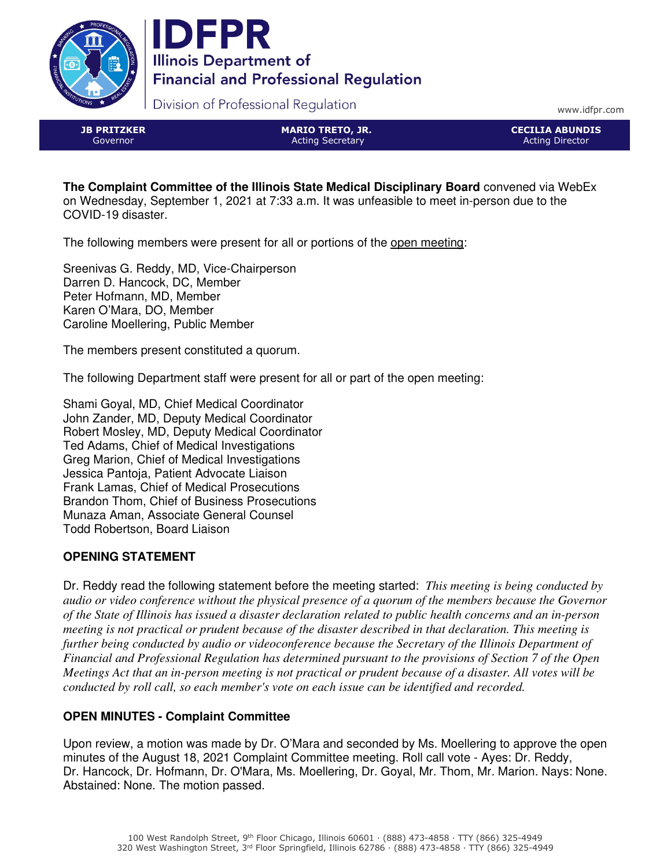



Division of Professional Regulation

www.idfpr.com

JB PRITZKER Governor

MARIO TRETO, JR. Acting Secretary

CECILIA ABUNDIS Acting Director

**The Complaint Committee of the Illinois State Medical Disciplinary Board** convened via WebEx on Wednesday, September 1, 2021 at 7:33 a.m. It was unfeasible to meet in-person due to the COVID-19 disaster.

The following members were present for all or portions of the open meeting:

Sreenivas G. Reddy, MD, Vice-Chairperson Darren D. Hancock, DC, Member Peter Hofmann, MD, Member Karen O'Mara, DO, Member Caroline Moellering, Public Member

The members present constituted a quorum.

The following Department staff were present for all or part of the open meeting:

Shami Goyal, MD, Chief Medical Coordinator John Zander, MD, Deputy Medical Coordinator Robert Mosley, MD, Deputy Medical Coordinator Ted Adams, Chief of Medical Investigations Greg Marion, Chief of Medical Investigations Jessica Pantoja, Patient Advocate Liaison Frank Lamas, Chief of Medical Prosecutions Brandon Thom, Chief of Business Prosecutions Munaza Aman, Associate General Counsel Todd Robertson, Board Liaison

# **OPENING STATEMENT**

Dr. Reddy read the following statement before the meeting started: *This meeting is being conducted by audio or video conference without the physical presence of a quorum of the members because the Governor of the State of Illinois has issued a disaster declaration related to public health concerns and an in-person meeting is not practical or prudent because of the disaster described in that declaration. This meeting is further being conducted by audio or videoconference because the Secretary of the Illinois Department of Financial and Professional Regulation has determined pursuant to the provisions of Section 7 of the Open Meetings Act that an in-person meeting is not practical or prudent because of a disaster. All votes will be conducted by roll call, so each member's vote on each issue can be identified and recorded.*

# **OPEN MINUTES - Complaint Committee**

Upon review, a motion was made by Dr. O'Mara and seconded by Ms. Moellering to approve the open minutes of the August 18, 2021 Complaint Committee meeting. Roll call vote - Ayes: Dr. Reddy, Dr. Hancock, Dr. Hofmann, Dr. O'Mara, Ms. Moellering, Dr. Goyal, Mr. Thom, Mr. Marion. Nays: None. Abstained: None. The motion passed.